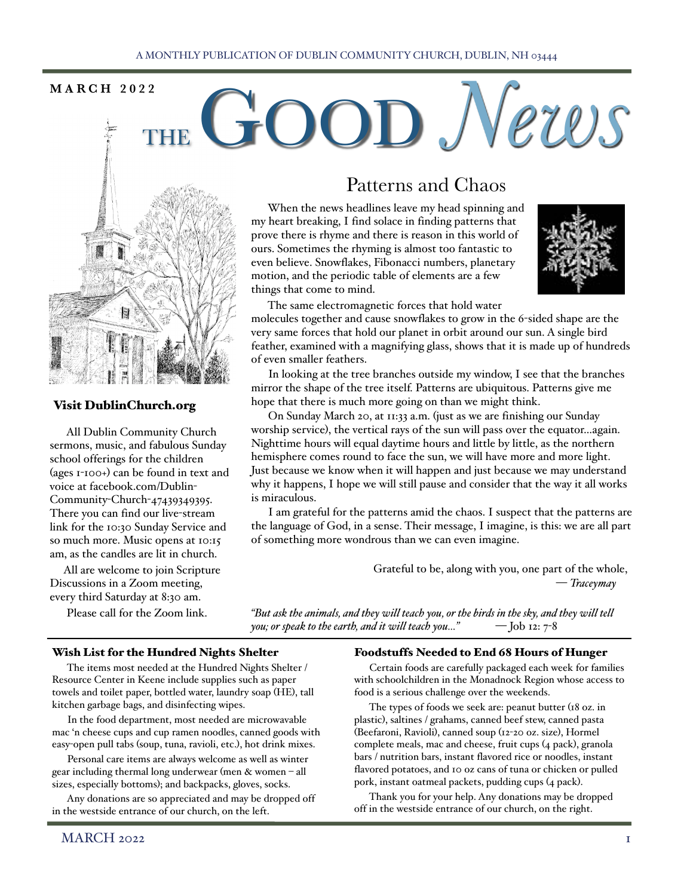# $MARTH<sub>2022</sub>$  **MARCH 2022**



# Visit DublinChurch.org

 All Dublin Community Church sermons, music, and fabulous Sunday school offerings for the children (ages 1-100+) can be found in text and voice at facebook.com/Dublin-Community-Church-47439349395. There you can find our live-stream link for the 10:30 Sunday Service and so much more. Music opens at 10:15 am, as the candles are lit in church.

 All are welcome to join Scripture Discussions in a Zoom meeting, every third Saturday at 8:30 am.

Please call for the Zoom link.

# Patterns and Chaos

 When the news headlines leave my head spinning and my heart breaking, I find solace in finding patterns that prove there is rhyme and there is reason in this world of ours. Sometimes the rhyming is almost too fantastic to even believe. Snowflakes, Fibonacci numbers, planetary motion, and the periodic table of elements are a few things that come to mind.



 The same electromagnetic forces that hold water molecules together and cause snowflakes to grow in the 6-sided shape are the

very same forces that hold our planet in orbit around our sun. A single bird feather, examined with a magnifying glass, shows that it is made up of hundreds of even smaller feathers.

 In looking at the tree branches outside my window, I see that the branches mirror the shape of the tree itself. Patterns are ubiquitous. Patterns give me hope that there is much more going on than we might think.

 On Sunday March 20, at 11:33 a.m. (just as we are finishing our Sunday worship service), the vertical rays of the sun will pass over the equator…again. Nighttime hours will equal daytime hours and little by little, as the northern hemisphere comes round to face the sun, we will have more and more light. Just because we know when it will happen and just because we may understand why it happens, I hope we will still pause and consider that the way it all works is miraculous.

 I am grateful for the patterns amid the chaos. I suspect that the patterns are the language of God, in a sense. Their message, I imagine, is this: we are all part of something more wondrous than we can even imagine.

> Grateful to be, along with you, one part of the whole, — *Traceymay*

*"But ask the animals, and they will teach you, or the birds in the sky, and they will tell you; or speak to the earth, and it will teach you…"* — Job 12: 7-8

# Wish List for the Hundred Nights Shelter

 The items most needed at the Hundred Nights Shelter / Resource Center in Keene include supplies such as paper towels and toilet paper, bottled water, laundry soap (HE), tall kitchen garbage bags, and disinfecting wipes.

 In the food department, most needed are microwavable mac 'n cheese cups and cup ramen noodles, canned goods with easy-open pull tabs (soup, tuna, ravioli, etc.), hot drink mixes.

 Personal care items are always welcome as well as winter gear including thermal long underwear (men & women – all sizes, especially bottoms); and backpacks, gloves, socks.

 Any donations are so appreciated and may be dropped off in the westside entrance of our church, on the left.

# Foodstuffs Needed to End 68 Hours of Hunger

 Certain foods are carefully packaged each week for families with schoolchildren in the Monadnock Region whose access to food is a serious challenge over the weekends.

 The types of foods we seek are: peanut butter (18 oz. in plastic), saltines / grahams, canned beef stew, canned pasta (Beefaroni, Ravioli), canned soup (12-20 oz. size), Hormel complete meals, mac and cheese, fruit cups (4 pack), granola bars / nutrition bars, instant flavored rice or noodles, instant flavored potatoes, and 10 oz cans of tuna or chicken or pulled pork, instant oatmeal packets, pudding cups (4 pack).

 Thank you for your help. Any donations may be dropped off in the westside entrance of our church, on the right.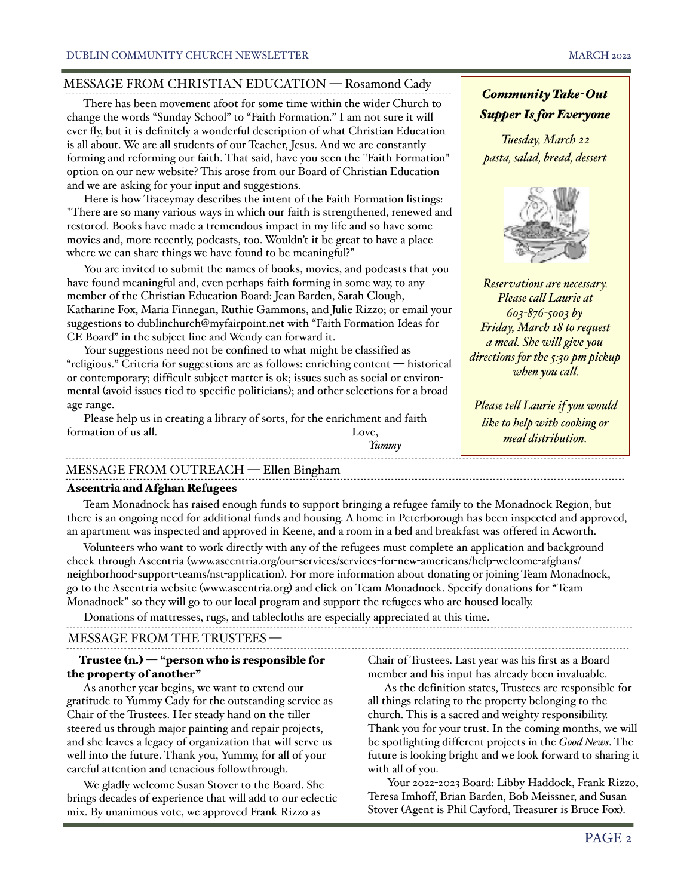# MESSAGE FROM CHRISTIAN EDUCATION — Rosamond Cady

 There has been movement afoot for some time within the wider Church to change the words "Sunday School" to "Faith Formation." I am not sure it will ever fly, but it is definitely a wonderful description of what Christian Education is all about. We are all students of our Teacher, Jesus. And we are constantly forming and reforming our faith. That said, have you seen the "Faith Formation" option on our new website? This arose from our Board of Christian Education and we are asking for your input and suggestions.

 Here is how Traceymay describes the intent of the Faith Formation listings: "There are so many various ways in which our faith is strengthened, renewed and restored. Books have made a tremendous impact in my life and so have some movies and, more recently, podcasts, too. Wouldn't it be great to have a place where we can share things we have found to be meaningful?"

 You are invited to submit the names of books, movies, and podcasts that you have found meaningful and, even perhaps faith forming in some way, to any member of the Christian Education Board: Jean Barden, Sarah Clough, Katharine Fox, Maria Finnegan, Ruthie Gammons, and Julie Rizzo; or email your suggestions to dublinchurch@myfairpoint.net with "Faith Formation Ideas for CE Board" in the subject line and Wendy can forward it.

 Your suggestions need not be confined to what might be classified as "religious." Criteria for suggestions are as follows: enriching content — historical or contemporary; difficult subject matter is ok; issues such as social or environmental (avoid issues tied to specific politicians); and other selections for a broad age range.

 Please help us in creating a library of sorts, for the enrichment and faith formation of us all. Love,



*Tuesday, March 22 pasta, salad, bread, dessert*



*Reservations are necessary. Please call Laurie at 603-876-5003 by Friday, March 18 to request a meal. She will give you directions for the 5:30 pm pickup when you call.*

*Please tell Laurie if you would like to help with cooking or meal distribution.*

# MESSAGE FROM OUTREACH — Ellen Bingham

#### Ascentria and Afghan Refugees

 Team Monadnock has raised enough funds to support bringing a refugee family to the Monadnock Region, but there is an ongoing need for additional funds and housing. A home in Peterborough has been inspected and approved, an apartment was inspected and approved in Keene, and a room in a bed and breakfast was offered in Acworth.

*Yummy*

 Volunteers who want to work directly with any of the refugees must complete an application and background check through Ascentria (www.ascentria.org/our-services/services-for-new-americans/help-welcome-afghans/ neighborhood-support-teams/nst-application). For more information about donating or joining Team Monadnock, go to the Ascentria website (www.ascentria.org) and click on Team Monadnock. Specify donations for "Team Monadnock" so they will go to our local program and support the refugees who are housed locally.

MESSAGE FROM THE TRUSTEES — Donations of mattresses, rugs, and tablecloths are especially appreciated at this time.

#### Trustee (n.) — "person who is responsible for the property of another"

 As another year begins, we want to extend our gratitude to Yummy Cady for the outstanding service as Chair of the Trustees. Her steady hand on the tiller steered us through major painting and repair projects, and she leaves a legacy of organization that will serve us well into the future. Thank you, Yummy, for all of your careful attention and tenacious followthrough.

 We gladly welcome Susan Stover to the Board. She brings decades of experience that will add to our eclectic mix. By unanimous vote, we approved Frank Rizzo as

Chair of Trustees. Last year was his first as a Board member and his input has already been invaluable.

 As the definition states, Trustees are responsible for all things relating to the property belonging to the church. This is a sacred and weighty responsibility. Thank you for your trust. In the coming months, we will be spotlighting different projects in the *Good News*. The future is looking bright and we look forward to sharing it with all of you.

 Your 2022-2023 Board: Libby Haddock, Frank Rizzo, Teresa Imhoff, Brian Barden, Bob Meissner, and Susan Stover (Agent is Phil Cayford, Treasurer is Bruce Fox).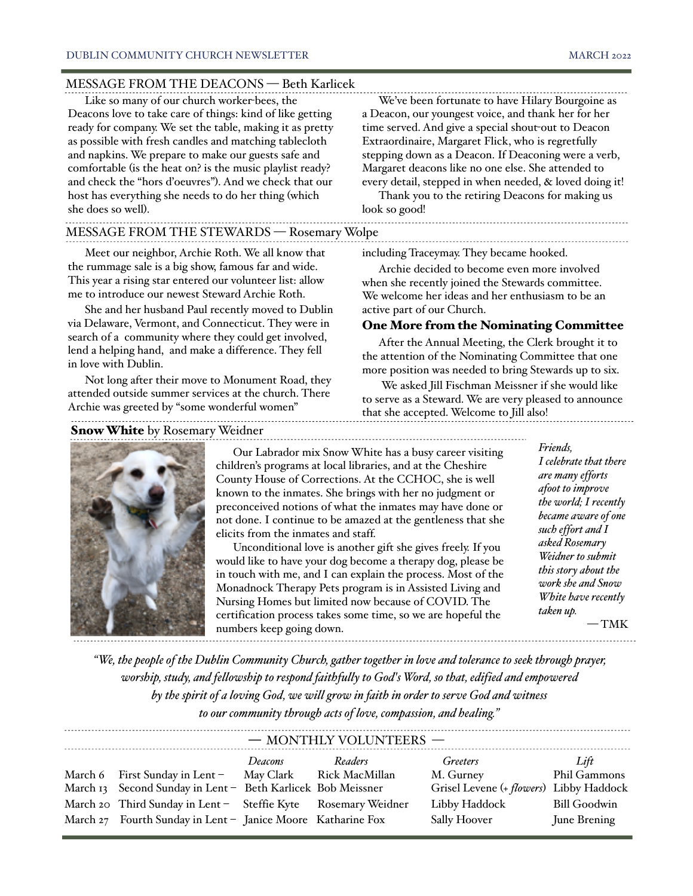### MESSAGE FROM THE DEACONS — Beth Karlicek

 Like so many of our church worker-bees, the Deacons love to take care of things: kind of like getting ready for company. We set the table, making it as pretty as possible with fresh candles and matching tablecloth and napkins. We prepare to make our guests safe and comfortable (is the heat on? is the music playlist ready? and check the "hors d'oeuvres"). And we check that our host has everything she needs to do her thing (which she does so well).

#### MESSAGE FROM THE STEWARDS — Rosemary Wolpe

 Meet our neighbor, Archie Roth. We all know that the rummage sale is a big show, famous far and wide. This year a rising star entered our volunteer list: allow me to introduce our newest Steward Archie Roth.

 She and her husband Paul recently moved to Dublin via Delaware, Vermont, and Connecticut. They were in search of a community where they could get involved, lend a helping hand, and make a difference. They fell in love with Dublin.

 Not long after their move to Monument Road, they attended outside summer services at the church. There Archie was greeted by "some wonderful women"

Snow White by Rosemary Weidner



 Our Labrador mix Snow White has a busy career visiting children's programs at local libraries, and at the Cheshire County House of Corrections. At the CCHOC, she is well known to the inmates. She brings with her no judgment or preconceived notions of what the inmates may have done or not done. I continue to be amazed at the gentleness that she elicits from the inmates and staff.

 Unconditional love is another gift she gives freely. If you would like to have your dog become a therapy dog, please be in touch with me, and I can explain the process. Most of the Monadnock Therapy Pets program is in Assisted Living and Nursing Homes but limited now because of COVID. The certification process takes some time, so we are hopeful the numbers keep going down.

 We've been fortunate to have Hilary Bourgoine as a Deacon, our youngest voice, and thank her for her time served. And give a special shout-out to Deacon Extraordinaire, Margaret Flick, who is regretfully stepping down as a Deacon. If Deaconing were a verb, Margaret deacons like no one else. She attended to every detail, stepped in when needed, & loved doing it!

 Thank you to the retiring Deacons for making us look so good!

including Traceymay. They became hooked.

 Archie decided to become even more involved when she recently joined the Stewards committee. We welcome her ideas and her enthusiasm to be an active part of our Church.

## One More from the Nominating Committee

 After the Annual Meeting, the Clerk brought it to the attention of the Nominating Committee that one more position was needed to bring Stewards up to six.

 We asked Jill Fischman Meissner if she would like to serve as a Steward. We are very pleased to announce that she accepted. Welcome to Jill also!

> *Friends, I celebrate that there are many efforts afoot to improve the world; I recently became aware of one such effort and I asked Rosemary Weidner to submit this story about the work she and Snow White have recently taken up.*

— TMK

*"We, the people of the Dublin Community Church, gather together in love and tolerance to seek through prayer, worship, study, and fellowship to respond faithfully to God's Word, so that, edified and empowered by the spirit of a loving God, we will grow in faith in order to serve God and witness to our community through acts of love, compassion, and healing."* 

| - MONTHLY VOLUNTEERS - |                                                               |         |         |                                         |                     |  |  |  |  |  |  |
|------------------------|---------------------------------------------------------------|---------|---------|-----------------------------------------|---------------------|--|--|--|--|--|--|
|                        |                                                               | Deacons | Readers | <i>Greeters</i>                         | Lift                |  |  |  |  |  |  |
|                        | March 6 First Sunday in Lent - May Clark Rick MacMillan       |         |         | M. Gurney                               | Phil Gammons        |  |  |  |  |  |  |
|                        | March 13 Second Sunday in Lent - Beth Karlicek Bob Meissner   |         |         | Grisel Levene (+ flowers) Libby Haddock |                     |  |  |  |  |  |  |
|                        | March 20 Third Sunday in Lent - Steffie Kyte Rosemary Weidner |         |         | Libby Haddock                           | <b>Bill Goodwin</b> |  |  |  |  |  |  |
|                        | March 27 Fourth Sunday in Lent - Janice Moore Katharine Fox   |         |         | Sally Hoover                            | June Brening        |  |  |  |  |  |  |